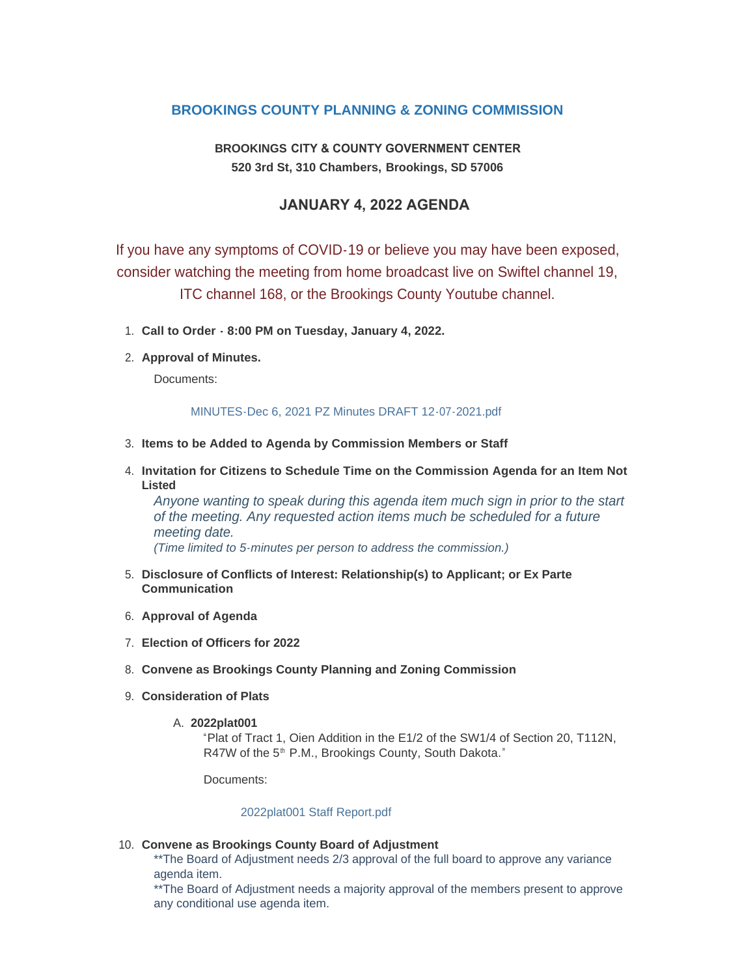# **BROOKINGS COUNTY PLANNING & ZONING COMMISSION**

# **BROOKINGS CITY & COUNTY GOVERNMENT CENTER 520 3rd St, 310 Chambers, Brookings, SD 57006**

# **JANUARY 4, 2022 AGENDA**

If you have any symptoms of COVID-19 or believe you may have been exposed, consider watching the meeting from home broadcast live on Swiftel channel 19, ITC channel 168, or the Brookings County Youtube channel.

- **Call to Order 8:00 PM on Tuesday, January 4, 2022.** 1.
- **Approval of Minutes.** 2.

Documents:

#### [MINUTES-Dec 6, 2021 PZ Minutes DRAFT 12-07-2021.pdf](http://sd-brookingscounty2.civicplus.com/AgendaCenter/ViewFile/Item/11667?fileID=9824)

- **Items to be Added to Agenda by Commission Members or Staff** 3.
- **Invitation for Citizens to Schedule Time on the Commission Agenda for an Item Not**  4. **Listed**

*Anyone wanting to speak during this agenda item much sign in prior to the start of the meeting. Any requested action items much be scheduled for a future meeting date. (Time limited to 5-minutes per person to address the commission.)*

- **Disclosure of Conflicts of Interest: Relationship(s) to Applicant; or Ex Parte**  5. **Communication**
- **Approval of Agenda** 6.
- **Election of Officers for 2022** 7.
- **Convene as Brookings County Planning and Zoning Commission** 8.
- **Consideration of Plats** 9.
	- **2022plat001** A.

"Plat of Tract 1, Oien Addition in the E1/2 of the SW1/4 of Section 20, T112N, R47W of the 5<sup>th</sup> P.M., Brookings County, South Dakota."

Documents:

#### [2022plat001 Staff Report.pdf](http://sd-brookingscounty2.civicplus.com/AgendaCenter/ViewFile/Item/11669?fileID=9840)

#### **Convene as Brookings County Board of Adjustment** 10.

\*\*The Board of Adjustment needs 2/3 approval of the full board to approve any variance agenda item.

\*\*The Board of Adjustment needs a majority approval of the members present to approve any conditional use agenda item.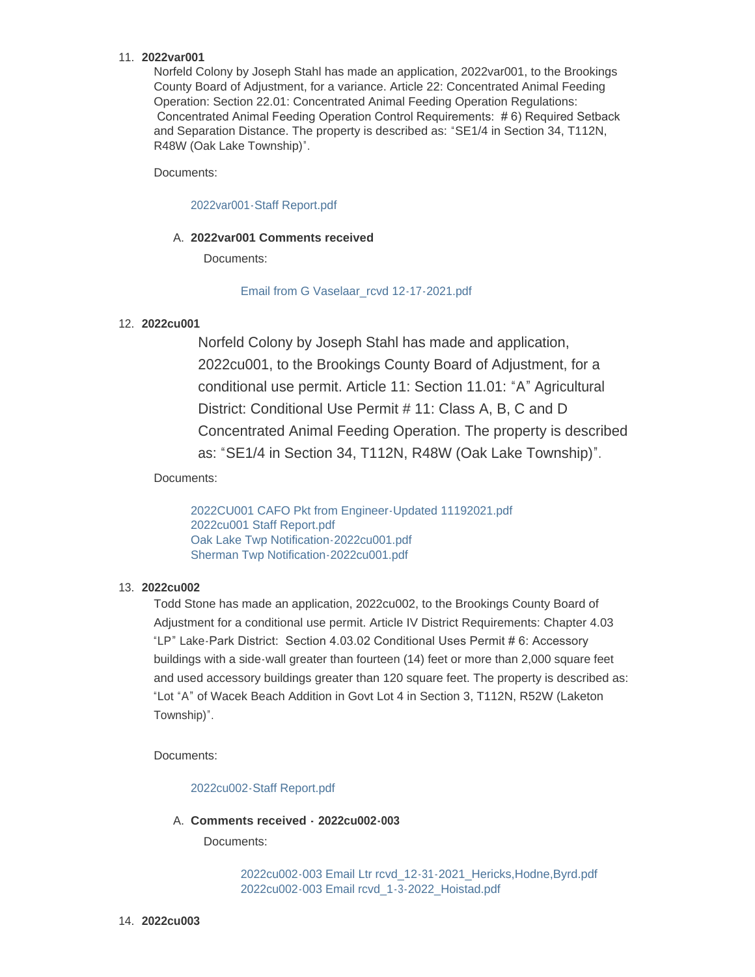## **2022var001** 11.

Norfeld Colony by Joseph Stahl has made an application, 2022var001, to the Brookings County Board of Adjustment, for a variance. Article 22: Concentrated Animal Feeding Operation: Section 22.01: Concentrated Animal Feeding Operation Regulations: Concentrated Animal Feeding Operation Control Requirements: # 6) Required Setback and Separation Distance. The property is described as: "SE1/4 in Section 34, T112N, R48W (Oak Lake Township)".

Documents:

## [2022var001-Staff Report.pdf](http://sd-brookingscounty2.civicplus.com/AgendaCenter/ViewFile/Item/11670?fileID=9868)

## **2022var001 Comments received** A.

Documents:

## [Email from G Vaselaar\\_rcvd 12-17-2021.pdf](http://sd-brookingscounty2.civicplus.com/AgendaCenter/ViewFile/Item/11681?fileID=9830)

## **2022cu001** 12.

Norfeld Colony by Joseph Stahl has made and application, 2022cu001, to the Brookings County Board of Adjustment, for a conditional use permit. Article 11: Section 11.01: "A" Agricultural District: Conditional Use Permit # 11: Class A, B, C and D Concentrated Animal Feeding Operation. The property is described as: "SE1/4 in Section 34, T112N, R48W (Oak Lake Township)".

Documents:

[2022CU001 CAFO Pkt from Engineer-Updated 11192021.pdf](http://sd-brookingscounty2.civicplus.com/AgendaCenter/ViewFile/Item/11721?fileID=9869) [2022cu001 Staff Report.pdf](http://sd-brookingscounty2.civicplus.com/AgendaCenter/ViewFile/Item/11721?fileID=9870) [Oak Lake Twp Notification-2022cu001.pdf](http://sd-brookingscounty2.civicplus.com/AgendaCenter/ViewFile/Item/11721?fileID=9871) [Sherman Twp Notification-2022cu001.pdf](http://sd-brookingscounty2.civicplus.com/AgendaCenter/ViewFile/Item/11721?fileID=9872)

## **2022cu002** 13.

Todd Stone has made an application, 2022cu002, to the Brookings County Board of Adjustment for a conditional use permit. Article IV District Requirements: Chapter 4.03 "LP" Lake-Park District: Section 4.03.02 Conditional Uses Permit # 6: Accessory buildings with a side-wall greater than fourteen (14) feet or more than 2,000 square feet and used accessory buildings greater than 120 square feet. The property is described as: "Lot "A" of Wacek Beach Addition in Govt Lot 4 in Section 3, T112N, R52W (Laketon Township)".

Documents:

[2022cu002-Staff Report.pdf](http://sd-brookingscounty2.civicplus.com/AgendaCenter/ViewFile/Item/11672?fileID=9837)

### **Comments received - 2022cu002-003** A.

Documents:

[2022cu002-003 Email Ltr rcvd\\_12-31-2021\\_Hericks,Hodne,Byrd.pdf](http://sd-brookingscounty2.civicplus.com/AgendaCenter/ViewFile/Item/11722?fileID=9875) [2022cu002-003 Email rcvd\\_1-3-2022\\_Hoistad.pdf](http://sd-brookingscounty2.civicplus.com/AgendaCenter/ViewFile/Item/11722?fileID=9877)